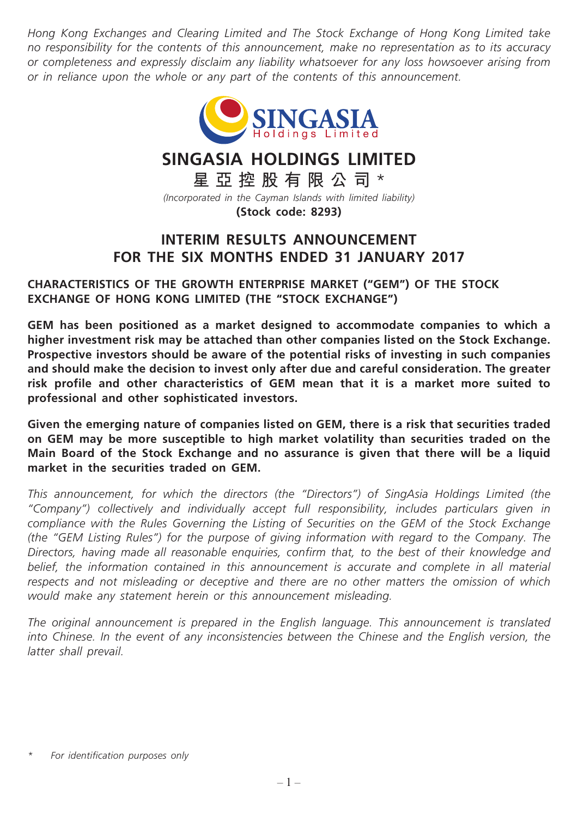*Hong Kong Exchanges and Clearing Limited and The Stock Exchange of Hong Kong Limited take no responsibility for the contents of this announcement, make no representation as to its accuracy or completeness and expressly disclaim any liability whatsoever for any loss howsoever arising from or in reliance upon the whole or any part of the contents of this announcement.*



# **SINGASIA HOLDINGS LIMITED**

**星亞控股有限公司** \* *(Incorporated in the Cayman Islands with limited liability)*

**(Stock code: 8293)**

## **INTERIM RESULTS ANNOUNCEMENT FOR THE SIX MONTHS ENDED 31 JANUARY 2017**

**CHARACTERISTICS OF THE GROWTH ENTERPRISE MARKET ("GEM") OF THE STOCK EXCHANGE OF HONG KONG LIMITED (THE "STOCK EXCHANGE")**

**GEM has been positioned as a market designed to accommodate companies to which a higher investment risk may be attached than other companies listed on the Stock Exchange. Prospective investors should be aware of the potential risks of investing in such companies and should make the decision to invest only after due and careful consideration. The greater risk profile and other characteristics of GEM mean that it is a market more suited to professional and other sophisticated investors.**

**Given the emerging nature of companies listed on GEM, there is a risk that securities traded on GEM may be more susceptible to high market volatility than securities traded on the Main Board of the Stock Exchange and no assurance is given that there will be a liquid market in the securities traded on GEM.**

*This announcement, for which the directors (the "Directors") of SingAsia Holdings Limited (the "Company") collectively and individually accept full responsibility, includes particulars given in compliance with the Rules Governing the Listing of Securities on the GEM of the Stock Exchange (the "GEM Listing Rules") for the purpose of giving information with regard to the Company. The Directors, having made all reasonable enquiries, confirm that, to the best of their knowledge and*  belief, the information contained in this announcement is accurate and complete in all material *respects and not misleading or deceptive and there are no other matters the omission of which would make any statement herein or this announcement misleading.*

*The original announcement is prepared in the English language. This announcement is translated*  into Chinese. In the event of any inconsistencies between the Chinese and the English version, the *latter shall prevail.*

*<sup>\*</sup> For identification purposes only*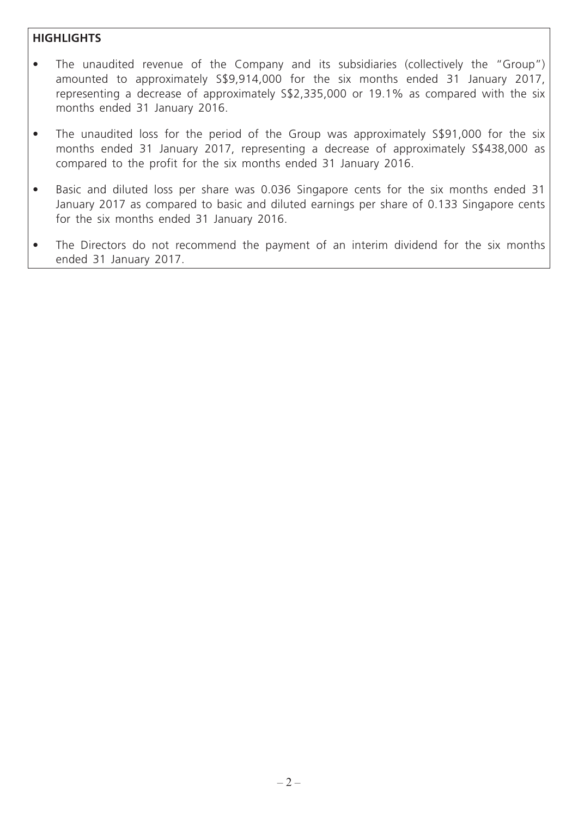## **HIGHLIGHTS**

- The unaudited revenue of the Company and its subsidiaries (collectively the "Group") amounted to approximately S\$9,914,000 for the six months ended 31 January 2017, representing a decrease of approximately S\$2,335,000 or 19.1% as compared with the six months ended 31 January 2016.
- The unaudited loss for the period of the Group was approximately S\$91,000 for the six months ended 31 January 2017, representing a decrease of approximately S\$438,000 as compared to the profit for the six months ended 31 January 2016.
- Basic and diluted loss per share was 0.036 Singapore cents for the six months ended 31 January 2017 as compared to basic and diluted earnings per share of 0.133 Singapore cents for the six months ended 31 January 2016.
- The Directors do not recommend the payment of an interim dividend for the six months ended 31 January 2017.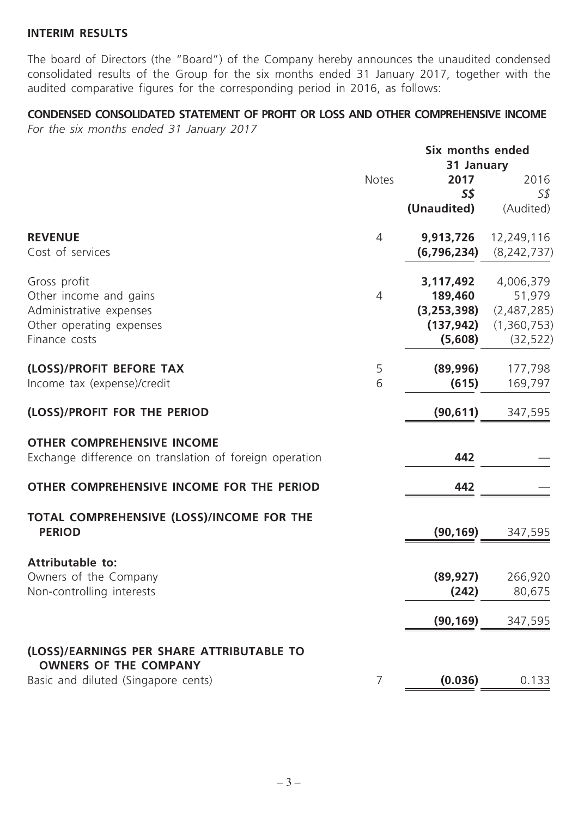#### **INTERIM RESULTS**

The board of Directors (the "Board") of the Company hereby announces the unaudited condensed consolidated results of the Group for the six months ended 31 January 2017, together with the audited comparative figures for the corresponding period in 2016, as follows:

## **CONDENSED CONSOLIDATED STATEMENT OF PROFIT OR LOSS AND OTHER COMPREHENSIVE INCOME**

*For the six months ended 31 January 2017*

|                                                                                              |                | Six months ended |               |
|----------------------------------------------------------------------------------------------|----------------|------------------|---------------|
|                                                                                              |                | 31 January       |               |
|                                                                                              | Notes          | 2017             | 2016          |
|                                                                                              |                | <b>S\$</b>       | S\$           |
|                                                                                              |                | (Unaudited)      | (Audited)     |
| <b>REVENUE</b>                                                                               | $\overline{4}$ | 9,913,726        | 12,249,116    |
| Cost of services                                                                             |                | (6,796,234)      | (8, 242, 737) |
| Gross profit                                                                                 |                | 3,117,492        | 4,006,379     |
| Other income and gains                                                                       | $\overline{4}$ | 189,460          | 51,979        |
| Administrative expenses                                                                      |                | (3, 253, 398)    | (2,487,285)   |
| Other operating expenses                                                                     |                | (137, 942)       | (1,360,753)   |
| Finance costs                                                                                |                | (5,608)          | (32, 522)     |
| (LOSS)/PROFIT BEFORE TAX                                                                     | 5              | (89,996)         | 177,798       |
| Income tax (expense)/credit                                                                  | 6              | (615)            | 169,797       |
| (LOSS)/PROFIT FOR THE PERIOD                                                                 |                | (90, 611)        | 347,595       |
| <b>OTHER COMPREHENSIVE INCOME</b><br>Exchange difference on translation of foreign operation |                | 442              |               |
| OTHER COMPREHENSIVE INCOME FOR THE PERIOD                                                    |                | 442              |               |
| TOTAL COMPREHENSIVE (LOSS)/INCOME FOR THE                                                    |                |                  |               |
| <b>PERIOD</b>                                                                                |                | (90, 169)        | 347,595       |
| <b>Attributable to:</b>                                                                      |                |                  |               |
| Owners of the Company                                                                        |                | (89, 927)        | 266,920       |
| Non-controlling interests                                                                    |                | (242)            | 80,675        |
|                                                                                              |                | (90, 169)        | 347,595       |
| (LOSS)/EARNINGS PER SHARE ATTRIBUTABLE TO                                                    |                |                  |               |
| <b>OWNERS OF THE COMPANY</b>                                                                 |                |                  |               |
| Basic and diluted (Singapore cents)                                                          | 7              | (0.036)          | 0.133         |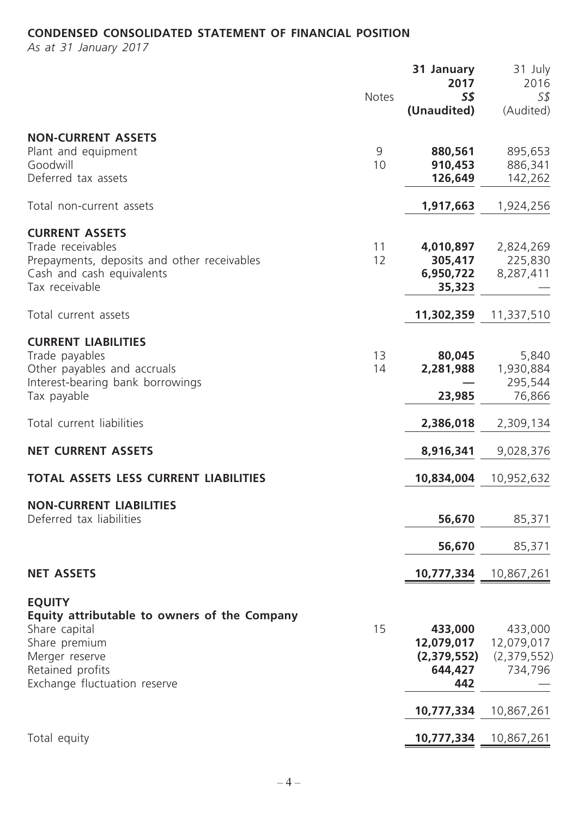## **CONDENSED CONSOLIDATED STATEMENT OF FINANCIAL POSITION**

*As at 31 January 2017*

|                                                                                                                                                                       | <b>Notes</b> | 31 January<br>2017<br><b>S\$</b><br>(Unaudited)        | 31 July<br>2016<br>5\$<br>(Audited)             |
|-----------------------------------------------------------------------------------------------------------------------------------------------------------------------|--------------|--------------------------------------------------------|-------------------------------------------------|
| <b>NON-CURRENT ASSETS</b><br>Plant and equipment<br>Goodwill<br>Deferred tax assets                                                                                   | 9<br>10      | 880,561<br>910,453<br>126,649                          | 895,653<br>886,341<br>142,262                   |
| Total non-current assets                                                                                                                                              |              | 1,917,663                                              | 1,924,256                                       |
| <b>CURRENT ASSETS</b><br>Trade receivables<br>Prepayments, deposits and other receivables<br>Cash and cash equivalents<br>Tax receivable                              | 11<br>12     | 4,010,897<br>305,417<br>6,950,722<br>35,323            | 2,824,269<br>225,830<br>8,287,411               |
| Total current assets                                                                                                                                                  |              | 11,302,359                                             | 11,337,510                                      |
| <b>CURRENT LIABILITIES</b><br>Trade payables<br>Other payables and accruals<br>Interest-bearing bank borrowings<br>Tax payable                                        | 13<br>14     | 80,045<br>2,281,988<br>23,985                          | 5,840<br>1,930,884<br>295,544<br>76,866         |
| Total current liabilities                                                                                                                                             |              | 2,386,018                                              | 2,309,134                                       |
| <b>NET CURRENT ASSETS</b>                                                                                                                                             |              | 8,916,341                                              | 9,028,376                                       |
| <b>TOTAL ASSETS LESS CURRENT LIABILITIES</b>                                                                                                                          |              | 10,834,004                                             | 10,952,632                                      |
| <b>NON-CURRENT LIABILITIES</b><br>Deferred tax liabilities                                                                                                            |              | 56,670                                                 | 85,371                                          |
|                                                                                                                                                                       |              | 56,670                                                 | 85,371                                          |
| <b>NET ASSETS</b>                                                                                                                                                     |              | 10,777,334                                             | 10,867,261                                      |
| <b>EQUITY</b><br>Equity attributable to owners of the Company<br>Share capital<br>Share premium<br>Merger reserve<br>Retained profits<br>Exchange fluctuation reserve | 15           | 433,000<br>12,079,017<br>(2,379,552)<br>644,427<br>442 | 433,000<br>12,079,017<br>(2,379,552)<br>734,796 |
|                                                                                                                                                                       |              | 10,777,334                                             | 10,867,261                                      |
| Total equity                                                                                                                                                          |              | 10,777,334                                             | 10,867,261                                      |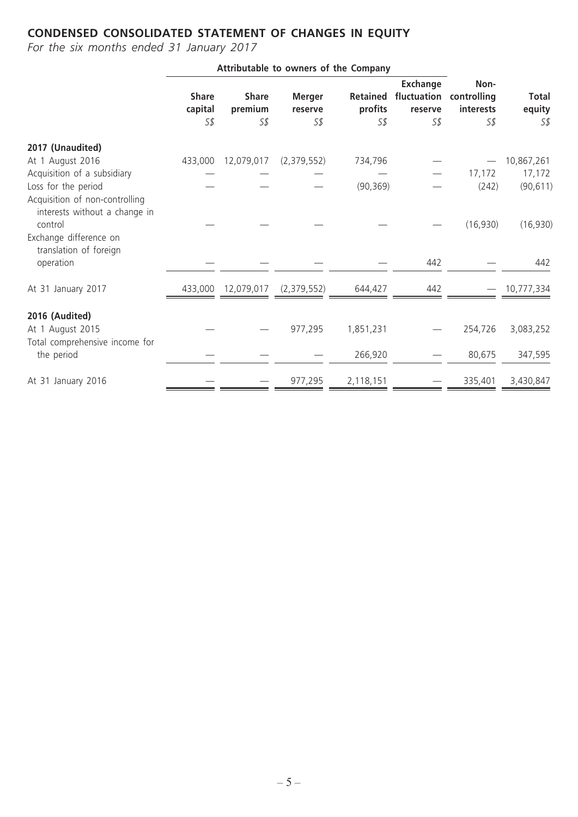## **CONDENSED CONSOLIDATED STATEMENT OF CHANGES IN EQUITY**

*For the six months ended 31 January 2017*

|                                                                                                                                |                                |                                |                                            | Attributable to owners of the Company |                                                                |                               |                               |
|--------------------------------------------------------------------------------------------------------------------------------|--------------------------------|--------------------------------|--------------------------------------------|---------------------------------------|----------------------------------------------------------------|-------------------------------|-------------------------------|
|                                                                                                                                | <b>Share</b><br>capital<br>S\$ | <b>Share</b><br>premium<br>S\$ | <b>Merger</b><br>reserve<br>S <sub>s</sub> | profits<br>S <sub>s</sub>             | Exchange<br>Retained fluctuation controlling<br>reserve<br>5\$ | Non-<br>interests<br>S\$      | <b>Total</b><br>equity<br>S\$ |
|                                                                                                                                |                                |                                |                                            |                                       |                                                                |                               |                               |
| 2017 (Unaudited)<br>At 1 August 2016                                                                                           | 433,000                        | 12,079,017                     | (2,379,552)                                | 734,796                               |                                                                |                               | 10,867,261                    |
| Acquisition of a subsidiary<br>Loss for the period                                                                             |                                |                                |                                            | (90, 369)                             |                                                                | 17,172<br>(242)               | 17,172<br>(90, 611)           |
| Acquisition of non-controlling<br>interests without a change in<br>control<br>Exchange difference on<br>translation of foreign |                                |                                |                                            |                                       |                                                                | (16,930)                      | (16, 930)                     |
| operation                                                                                                                      |                                |                                |                                            |                                       | 442                                                            |                               | 442                           |
| At 31 January 2017                                                                                                             |                                | 433,000 12,079,017             | (2,379,552)                                | 644,427                               | 442                                                            | $\overbrace{\phantom{13333}}$ | 10,777,334                    |
| 2016 (Audited)<br>At 1 August 2015                                                                                             |                                |                                | 977,295                                    | 1,851,231                             |                                                                | 254,726                       | 3,083,252                     |
| Total comprehensive income for<br>the period                                                                                   |                                |                                |                                            | 266,920                               |                                                                | 80,675                        | 347,595                       |
| At 31 January 2016                                                                                                             |                                |                                | 977,295                                    | 2,118,151                             |                                                                | 335,401                       | 3,430,847                     |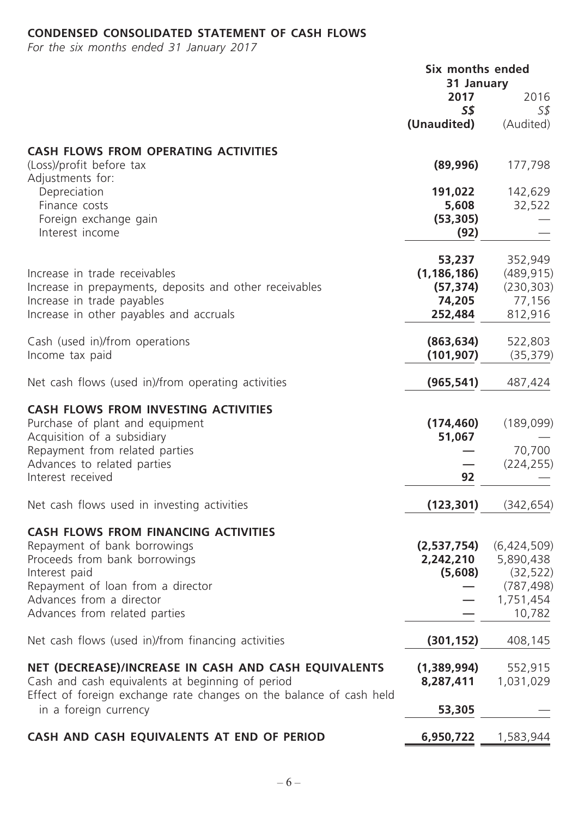## **CONDENSED CONSOLIDATED STATEMENT OF CASH FLOWS**

*For the six months ended 31 January 2017*

|                                                                                                                         | Six months ended                 |                        |
|-------------------------------------------------------------------------------------------------------------------------|----------------------------------|------------------------|
|                                                                                                                         | 31 January<br>2017<br><b>S\$</b> | 2016<br>S\$            |
|                                                                                                                         | (Unaudited)                      | (Audited)              |
| <b>CASH FLOWS FROM OPERATING ACTIVITIES</b>                                                                             |                                  |                        |
| (Loss)/profit before tax<br>Adjustments for:                                                                            | (89,996)                         | 177,798                |
| Depreciation                                                                                                            | 191,022                          | 142,629                |
| Finance costs                                                                                                           | 5,608                            | 32,522                 |
| Foreign exchange gain<br>Interest income                                                                                | (53, 305)<br>(92)                |                        |
|                                                                                                                         | 53,237                           | 352,949                |
| Increase in trade receivables                                                                                           | (1, 186, 186)                    | (489, 915)             |
| Increase in prepayments, deposits and other receivables<br>Increase in trade payables                                   | (57, 374)<br>74,205              | (230, 303)<br>77,156   |
| Increase in other payables and accruals                                                                                 | 252,484                          | 812,916                |
| Cash (used in)/from operations                                                                                          | (863, 634)                       | 522,803                |
| Income tax paid                                                                                                         | (101, 907)                       | (35, 379)              |
| Net cash flows (used in)/from operating activities                                                                      | (965, 541)                       | 487,424                |
| <b>CASH FLOWS FROM INVESTING ACTIVITIES</b>                                                                             |                                  |                        |
| Purchase of plant and equipment<br>Acquisition of a subsidiary                                                          | (174, 460)<br>51,067             | (189,099)              |
| Repayment from related parties                                                                                          |                                  | 70,700                 |
| Advances to related parties                                                                                             |                                  | (224, 255)             |
| Interest received                                                                                                       | 92                               |                        |
| Net cash flows used in investing activities                                                                             | (123, 301)                       | (342, 654)             |
| <b>CASH FLOWS FROM FINANCING ACTIVITIES</b>                                                                             |                                  |                        |
| Repayment of bank borrowings                                                                                            | (2,537,754)                      | (6,424,509)            |
| Proceeds from bank borrowings<br>Interest paid                                                                          | 2,242,210<br>(5,608)             | 5,890,438<br>(32, 522) |
| Repayment of loan from a director                                                                                       |                                  | (787, 498)             |
| Advances from a director                                                                                                |                                  | 1,751,454              |
| Advances from related parties                                                                                           |                                  | 10,782                 |
| Net cash flows (used in)/from financing activities                                                                      | (301, 152)                       | 408,145                |
| NET (DECREASE)/INCREASE IN CASH AND CASH EQUIVALENTS                                                                    | (1,389,994)                      | 552,915                |
| Cash and cash equivalents at beginning of period<br>Effect of foreign exchange rate changes on the balance of cash held | 8,287,411                        | 1,031,029              |
| in a foreign currency                                                                                                   | 53,305                           |                        |
| CASH AND CASH EQUIVALENTS AT END OF PERIOD                                                                              | 6,950,722                        | 1,583,944              |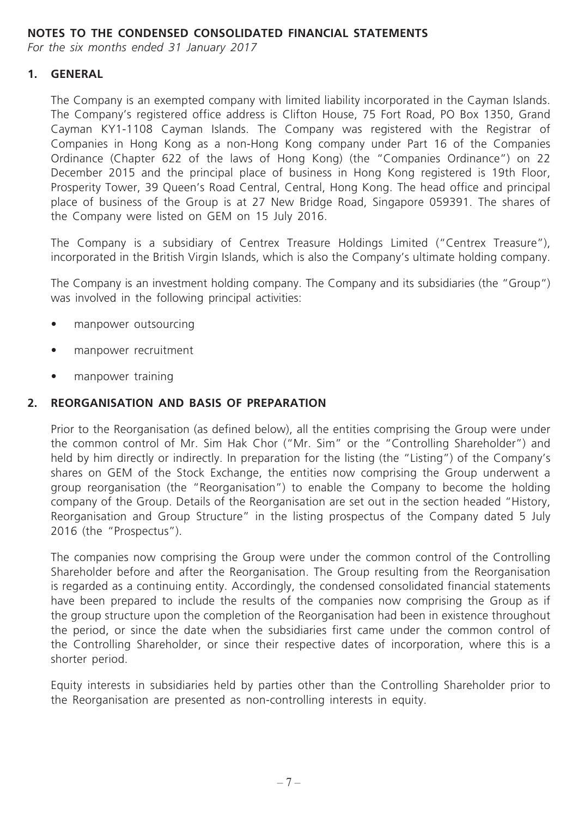## **NOTES TO THE CONDENSED CONSOLIDATED FINANCIAL STATEMENTS**

*For the six months ended 31 January 2017*

#### **1. GENERAL**

The Company is an exempted company with limited liability incorporated in the Cayman Islands. The Company's registered office address is Clifton House, 75 Fort Road, PO Box 1350, Grand Cayman KY1-1108 Cayman Islands. The Company was registered with the Registrar of Companies in Hong Kong as a non-Hong Kong company under Part 16 of the Companies Ordinance (Chapter 622 of the laws of Hong Kong) (the "Companies Ordinance") on 22 December 2015 and the principal place of business in Hong Kong registered is 19th Floor, Prosperity Tower, 39 Queen's Road Central, Central, Hong Kong. The head office and principal place of business of the Group is at 27 New Bridge Road, Singapore 059391. The shares of the Company were listed on GEM on 15 July 2016.

The Company is a subsidiary of Centrex Treasure Holdings Limited ("Centrex Treasure"), incorporated in the British Virgin Islands, which is also the Company's ultimate holding company.

The Company is an investment holding company. The Company and its subsidiaries (the "Group") was involved in the following principal activities:

- manpower outsourcing
- manpower recruitment
- manpower training

#### **2. REORGANISATION AND BASIS OF PREPARATION**

Prior to the Reorganisation (as defined below), all the entities comprising the Group were under the common control of Mr. Sim Hak Chor ("Mr. Sim" or the "Controlling Shareholder") and held by him directly or indirectly. In preparation for the listing (the "Listing") of the Company's shares on GEM of the Stock Exchange, the entities now comprising the Group underwent a group reorganisation (the "Reorganisation") to enable the Company to become the holding company of the Group. Details of the Reorganisation are set out in the section headed "History, Reorganisation and Group Structure" in the listing prospectus of the Company dated 5 July 2016 (the "Prospectus").

The companies now comprising the Group were under the common control of the Controlling Shareholder before and after the Reorganisation. The Group resulting from the Reorganisation is regarded as a continuing entity. Accordingly, the condensed consolidated financial statements have been prepared to include the results of the companies now comprising the Group as if the group structure upon the completion of the Reorganisation had been in existence throughout the period, or since the date when the subsidiaries first came under the common control of the Controlling Shareholder, or since their respective dates of incorporation, where this is a shorter period.

Equity interests in subsidiaries held by parties other than the Controlling Shareholder prior to the Reorganisation are presented as non-controlling interests in equity.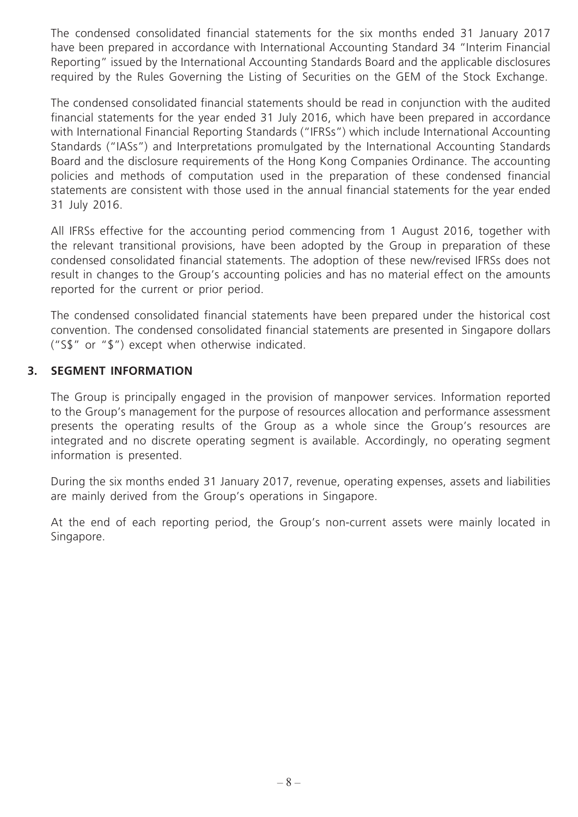The condensed consolidated financial statements for the six months ended 31 January 2017 have been prepared in accordance with International Accounting Standard 34 "Interim Financial Reporting" issued by the International Accounting Standards Board and the applicable disclosures required by the Rules Governing the Listing of Securities on the GEM of the Stock Exchange.

The condensed consolidated financial statements should be read in conjunction with the audited financial statements for the year ended 31 July 2016, which have been prepared in accordance with International Financial Reporting Standards ("IFRSs") which include International Accounting Standards ("IASs") and Interpretations promulgated by the International Accounting Standards Board and the disclosure requirements of the Hong Kong Companies Ordinance. The accounting policies and methods of computation used in the preparation of these condensed financial statements are consistent with those used in the annual financial statements for the year ended 31 July 2016.

All IFRSs effective for the accounting period commencing from 1 August 2016, together with the relevant transitional provisions, have been adopted by the Group in preparation of these condensed consolidated financial statements. The adoption of these new/revised IFRSs does not result in changes to the Group's accounting policies and has no material effect on the amounts reported for the current or prior period.

The condensed consolidated financial statements have been prepared under the historical cost convention. The condensed consolidated financial statements are presented in Singapore dollars ("S\$" or "\$") except when otherwise indicated.

## **3. SEGMENT INFORMATION**

The Group is principally engaged in the provision of manpower services. Information reported to the Group's management for the purpose of resources allocation and performance assessment presents the operating results of the Group as a whole since the Group's resources are integrated and no discrete operating segment is available. Accordingly, no operating segment information is presented.

During the six months ended 31 January 2017, revenue, operating expenses, assets and liabilities are mainly derived from the Group's operations in Singapore.

At the end of each reporting period, the Group's non-current assets were mainly located in Singapore.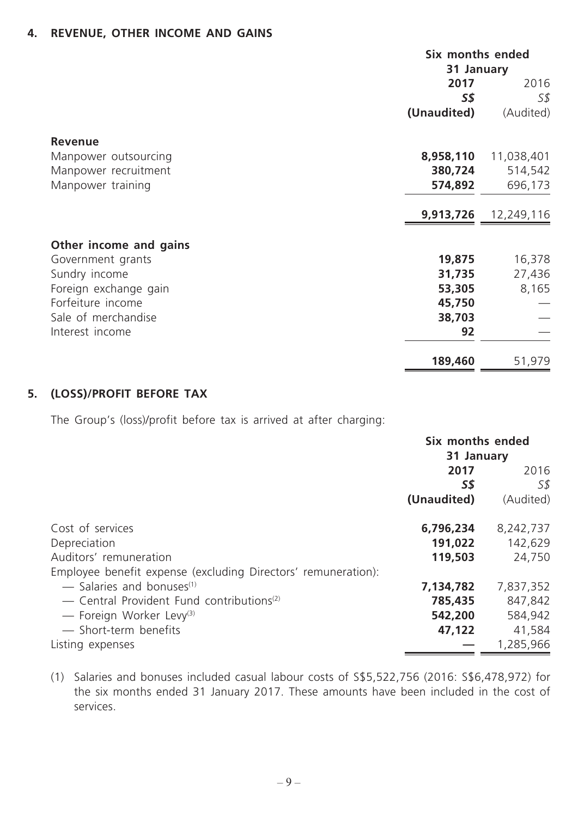## **4. REVENUE, OTHER INCOME AND GAINS**

|                                             | Six months ended<br>31 January |            |
|---------------------------------------------|--------------------------------|------------|
|                                             |                                |            |
|                                             | 2017                           | 2016       |
|                                             | 5\$                            | S\$        |
|                                             | (Unaudited)                    | (Audited)  |
| <b>Revenue</b>                              |                                |            |
| Manpower outsourcing                        | 8,958,110                      | 11,038,401 |
| Manpower recruitment                        | 380,724                        | 514,542    |
| Manpower training                           | 574,892                        | 696,173    |
|                                             | 9,913,726                      | 12,249,116 |
|                                             |                                |            |
| Other income and gains<br>Government grants | 19,875                         | 16,378     |
| Sundry income                               | 31,735                         | 27,436     |
| Foreign exchange gain                       | 53,305                         | 8,165      |
| Forfeiture income                           | 45,750                         |            |
| Sale of merchandise                         | 38,703                         |            |
| Interest income                             | 92                             |            |
|                                             | 189,460                        | 51,979     |

## **5. (LOSS)/PROFIT BEFORE TAX**

The Group's (loss)/profit before tax is arrived at after charging:

|                                                               | Six months ended |           |  |
|---------------------------------------------------------------|------------------|-----------|--|
|                                                               | 31 January       |           |  |
|                                                               | 2017             | 2016      |  |
|                                                               | S\$              | S\$       |  |
|                                                               | (Unaudited)      | (Audited) |  |
| Cost of services                                              | 6,796,234        | 8,242,737 |  |
| Depreciation                                                  | 191,022          | 142,629   |  |
| Auditors' remuneration                                        | 119,503          | 24,750    |  |
| Employee benefit expense (excluding Directors' remuneration): |                  |           |  |
| $-$ Salaries and bonuses <sup>(1)</sup>                       | 7,134,782        | 7,837,352 |  |
| - Central Provident Fund contributions <sup>(2)</sup>         | 785,435          | 847,842   |  |
| - Foreign Worker Levy <sup>(3)</sup>                          | 542,200          | 584,942   |  |
| - Short-term benefits                                         | 47,122           | 41,584    |  |
| Listing expenses                                              |                  | 1,285,966 |  |

(1) Salaries and bonuses included casual labour costs of S\$5,522,756 (2016: S\$6,478,972) for the six months ended 31 January 2017. These amounts have been included in the cost of services.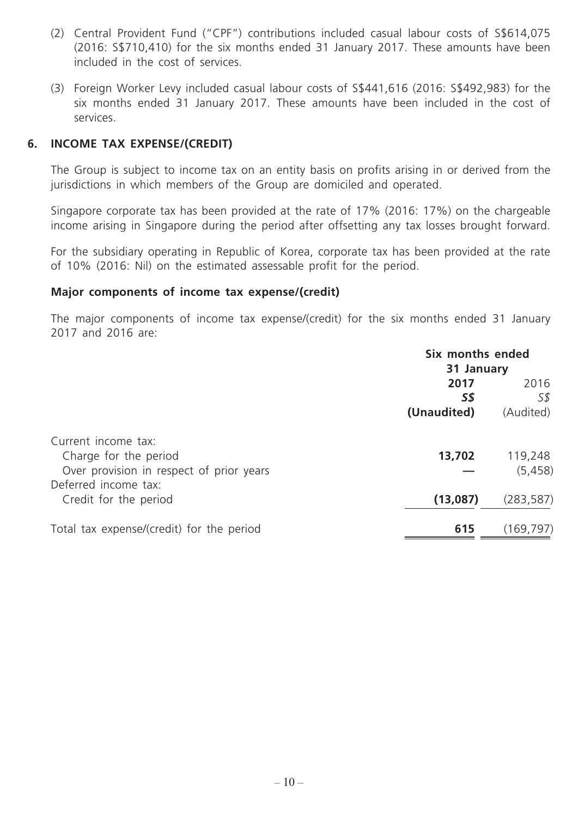- (2) Central Provident Fund ("CPF") contributions included casual labour costs of S\$614,075 (2016: S\$710,410) for the six months ended 31 January 2017. These amounts have been included in the cost of services.
- (3) Foreign Worker Levy included casual labour costs of S\$441,616 (2016: S\$492,983) for the six months ended 31 January 2017. These amounts have been included in the cost of services.

#### **6. INCOME TAX EXPENSE/(CREDIT)**

The Group is subject to income tax on an entity basis on profits arising in or derived from the jurisdictions in which members of the Group are domiciled and operated.

Singapore corporate tax has been provided at the rate of 17% (2016: 17%) on the chargeable income arising in Singapore during the period after offsetting any tax losses brought forward.

For the subsidiary operating in Republic of Korea, corporate tax has been provided at the rate of 10% (2016: Nil) on the estimated assessable profit for the period.

#### **Major components of income tax expense/(credit)**

The major components of income tax expense/(credit) for the six months ended 31 January 2017 and 2016 are:

|                                           | Six months ended |            |  |
|-------------------------------------------|------------------|------------|--|
|                                           | 31 January       |            |  |
|                                           | 2017             | 2016       |  |
|                                           | 5\$              | 5\$        |  |
|                                           | (Unaudited)      | (Audited)  |  |
| Current income tax:                       |                  |            |  |
| Charge for the period                     | 13,702           | 119,248    |  |
| Over provision in respect of prior years  |                  | (5, 458)   |  |
| Deferred income tax:                      |                  |            |  |
| Credit for the period                     | (13,087)         | (283, 587) |  |
| Total tax expense/(credit) for the period | 615              | (169, 797) |  |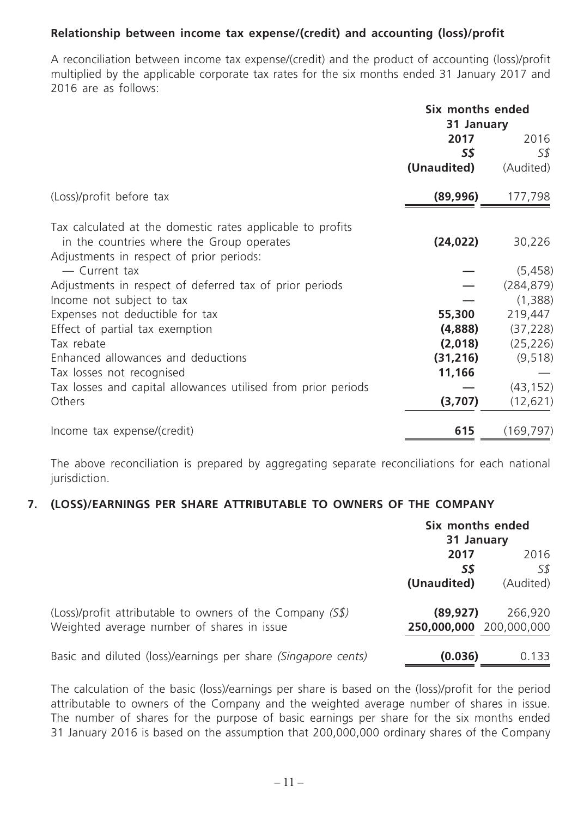## **Relationship between income tax expense/(credit) and accounting (loss)/profit**

A reconciliation between income tax expense/(credit) and the product of accounting (loss)/profit multiplied by the applicable corporate tax rates for the six months ended 31 January 2017 and 2016 are as follows:

|                                                               | Six months ended<br>31 January |            |
|---------------------------------------------------------------|--------------------------------|------------|
|                                                               | 2017                           | 2016       |
|                                                               | <b>S\$</b>                     | S\$        |
|                                                               | (Unaudited)                    | (Audited)  |
| (Loss)/profit before tax                                      | (89, 996)                      | 177,798    |
| Tax calculated at the domestic rates applicable to profits    |                                |            |
| in the countries where the Group operates                     | (24, 022)                      | 30,226     |
| Adjustments in respect of prior periods:                      |                                |            |
| - Current tax                                                 |                                | (5, 458)   |
| Adjustments in respect of deferred tax of prior periods       |                                | (284, 879) |
| Income not subject to tax                                     |                                | (1,388)    |
| Expenses not deductible for tax                               | 55,300                         | 219,447    |
| Effect of partial tax exemption                               | (4,888)                        | (37, 228)  |
| Tax rebate                                                    | (2,018)                        | (25, 226)  |
| Enhanced allowances and deductions                            | (31, 216)                      | (9, 518)   |
| Tax losses not recognised                                     | 11,166                         |            |
| Tax losses and capital allowances utilised from prior periods |                                | (43, 152)  |
| Others                                                        | (3,707)                        | (12, 621)  |
| Income tax expense/(credit)                                   | 615                            | (169, 797) |

The above reconciliation is prepared by aggregating separate reconciliations for each national jurisdiction.

## **7. (LOSS)/EARNINGS PER SHARE ATTRIBUTABLE TO OWNERS OF THE COMPANY**

|                                                               | Six months ended<br>31 January |           |
|---------------------------------------------------------------|--------------------------------|-----------|
|                                                               | 2017                           | 2016      |
|                                                               | S\$                            | 5\$       |
|                                                               | (Unaudited)                    | (Audited) |
| (Loss)/profit attributable to owners of the Company $(5\$ )   | (89, 927)                      | 266,920   |
| Weighted average number of shares in issue                    | 250,000,000 200,000,000        |           |
| Basic and diluted (loss)/earnings per share (Singapore cents) | (0.036)                        | 0.133     |

The calculation of the basic (loss)/earnings per share is based on the (loss)/profit for the period attributable to owners of the Company and the weighted average number of shares in issue. The number of shares for the purpose of basic earnings per share for the six months ended 31 January 2016 is based on the assumption that 200,000,000 ordinary shares of the Company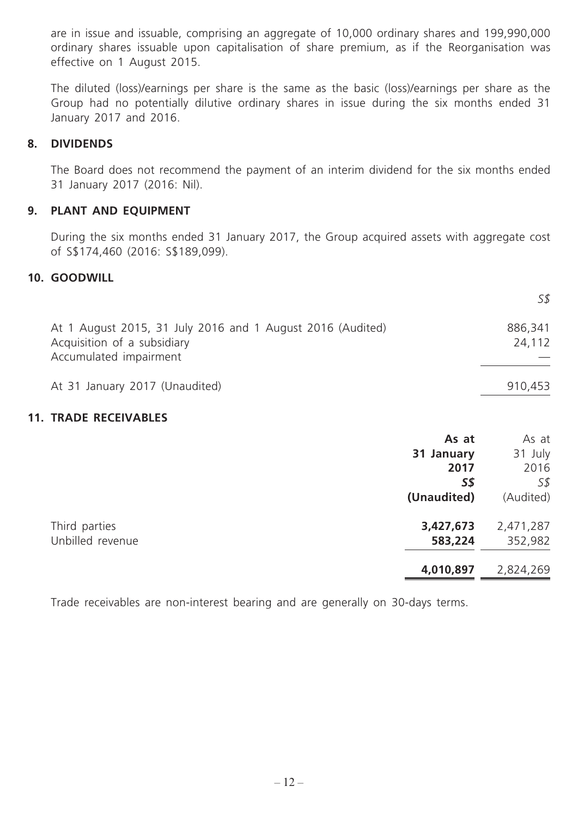are in issue and issuable, comprising an aggregate of 10,000 ordinary shares and 199,990,000 ordinary shares issuable upon capitalisation of share premium, as if the Reorganisation was effective on 1 August 2015.

The diluted (loss)/earnings per share is the same as the basic (loss)/earnings per share as the Group had no potentially dilutive ordinary shares in issue during the six months ended 31 January 2017 and 2016.

#### **8. DIVIDENDS**

The Board does not recommend the payment of an interim dividend for the six months ended 31 January 2017 (2016: Nil).

### **9. PLANT AND EQUIPMENT**

During the six months ended 31 January 2017, the Group acquired assets with aggregate cost of S\$174,460 (2016: S\$189,099).

#### **10. GOODWILL**

|                                                                                                                     | 5\$               |
|---------------------------------------------------------------------------------------------------------------------|-------------------|
| At 1 August 2015, 31 July 2016 and 1 August 2016 (Audited)<br>Acquisition of a subsidiary<br>Accumulated impairment | 886,341<br>24,112 |
| At 31 January 2017 (Unaudited)                                                                                      | 910,453           |

#### **11. TRADE RECEIVABLES**

| As at       | As at     |
|-------------|-----------|
| 31 January  | 31 July   |
| 2017        | 2016      |
| 5\$         | S\$       |
| (Unaudited) | (Audited) |
| 3,427,673   | 2,471,287 |
| 583,224     | 352,982   |
| 4,010,897   | 2,824,269 |
|             |           |

Trade receivables are non-interest bearing and are generally on 30-days terms.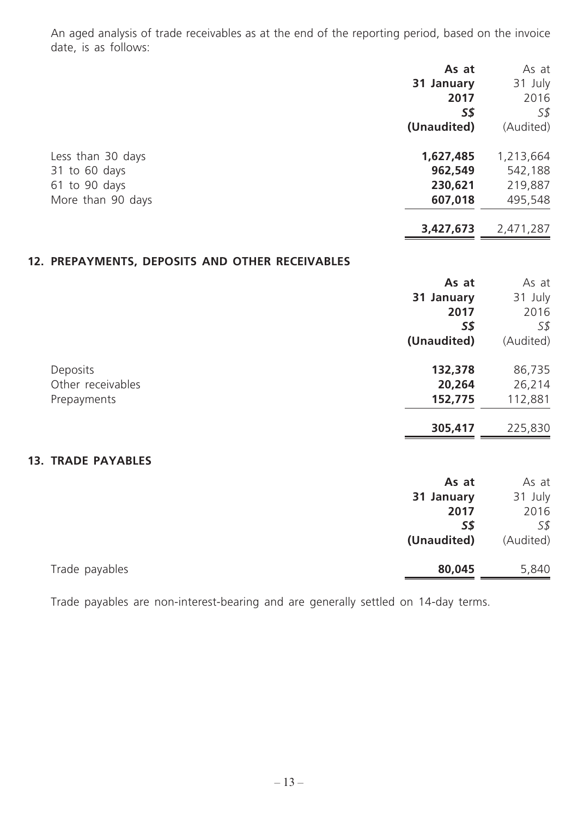An aged analysis of trade receivables as at the end of the reporting period, based on the invoice date, is as follows:

|                                                 | As at       | As at     |
|-------------------------------------------------|-------------|-----------|
|                                                 | 31 January  | 31 July   |
|                                                 | 2017        | 2016      |
|                                                 | <b>S\$</b>  | S\$       |
|                                                 | (Unaudited) | (Audited) |
| Less than 30 days                               | 1,627,485   | 1,213,664 |
| 31 to 60 days                                   | 962,549     | 542,188   |
| 61 to 90 days                                   | 230,621     | 219,887   |
| More than 90 days                               | 607,018     | 495,548   |
|                                                 | 3,427,673   | 2,471,287 |
| 12. PREPAYMENTS, DEPOSITS AND OTHER RECEIVABLES |             |           |
|                                                 | As at       | As at     |
|                                                 | 31 January  | 31 July   |
|                                                 | 2017        | 2016      |
|                                                 | <b>S\$</b>  | S\$       |
|                                                 | (Unaudited) | (Audited) |
| Deposits                                        | 132,378     | 86,735    |
| Other receivables                               | 20,264      | 26,214    |
| Prepayments                                     | 152,775     | 112,881   |
|                                                 | 305,417     | 225,830   |
| <b>13. TRADE PAYABLES</b>                       |             |           |
|                                                 | As at       | As at     |
|                                                 | 31 January  | 31 July   |
|                                                 | 2017        | 2016      |
|                                                 | <b>S\$</b>  | S\$       |
|                                                 | (Unaudited) | (Audited) |
| Trade payables                                  | 80,045      | 5,840     |

Trade payables are non-interest-bearing and are generally settled on 14-day terms.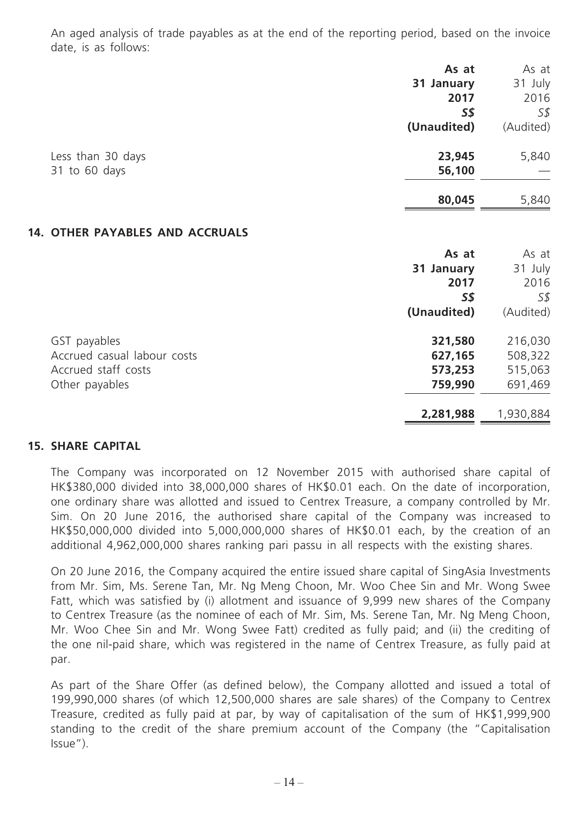An aged analysis of trade payables as at the end of the reporting period, based on the invoice date, is as follows:

|                                 | As at       | As at          |
|---------------------------------|-------------|----------------|
|                                 | 31 January  | 31 July        |
|                                 | 2017        | 2016           |
|                                 | <b>S\$</b>  | S <sub>s</sub> |
|                                 | (Unaudited) | (Audited)      |
| Less than 30 days               | 23,945      | 5,840          |
| 31 to 60 days                   | 56,100      |                |
|                                 | 80,045      | 5,840          |
| 14. OTHER PAYABLES AND ACCRUALS |             |                |
|                                 | As at       | As at          |
|                                 | 31 January  | 31 July        |
|                                 | 2017        | 2016           |
|                                 | <b>S\$</b>  | S\$            |
|                                 | (Unaudited) | (Audited)      |
| GST payables                    | 321,580     | 216,030        |
| Accrued casual labour costs     | 627,165     | 508,322        |
| Accrued staff costs             | 573,253     | 515,063        |
| Other payables                  | 759,990     | 691,469        |
|                                 | 2,281,988   | 1,930,884      |
|                                 |             |                |

## **15. SHARE CAPITAL**

The Company was incorporated on 12 November 2015 with authorised share capital of HK\$380,000 divided into 38,000,000 shares of HK\$0.01 each. On the date of incorporation, one ordinary share was allotted and issued to Centrex Treasure, a company controlled by Mr. Sim. On 20 June 2016, the authorised share capital of the Company was increased to HK\$50,000,000 divided into 5,000,000,000 shares of HK\$0.01 each, by the creation of an additional 4,962,000,000 shares ranking pari passu in all respects with the existing shares.

On 20 June 2016, the Company acquired the entire issued share capital of SingAsia Investments from Mr. Sim, Ms. Serene Tan, Mr. Ng Meng Choon, Mr. Woo Chee Sin and Mr. Wong Swee Fatt, which was satisfied by (i) allotment and issuance of 9,999 new shares of the Company to Centrex Treasure (as the nominee of each of Mr. Sim, Ms. Serene Tan, Mr. Ng Meng Choon, Mr. Woo Chee Sin and Mr. Wong Swee Fatt) credited as fully paid; and (ii) the crediting of the one nil-paid share, which was registered in the name of Centrex Treasure, as fully paid at par.

As part of the Share Offer (as defined below), the Company allotted and issued a total of 199,990,000 shares (of which 12,500,000 shares are sale shares) of the Company to Centrex Treasure, credited as fully paid at par, by way of capitalisation of the sum of HK\$1,999,900 standing to the credit of the share premium account of the Company (the "Capitalisation Issue").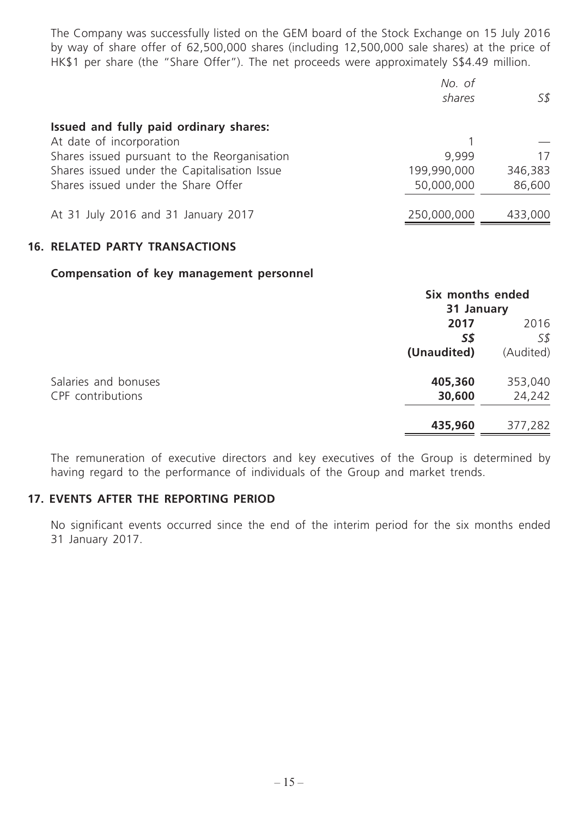The Company was successfully listed on the GEM board of the Stock Exchange on 15 July 2016 by way of share offer of 62,500,000 shares (including 12,500,000 sale shares) at the price of HK\$1 per share (the "Share Offer"). The net proceeds were approximately S\$4.49 million.

|                                              | No. of<br>shares | 5\$     |
|----------------------------------------------|------------------|---------|
| Issued and fully paid ordinary shares:       |                  |         |
| At date of incorporation                     |                  |         |
| Shares issued pursuant to the Reorganisation | 9.999            | 17      |
| Shares issued under the Capitalisation Issue | 199,990,000      | 346,383 |
| Shares issued under the Share Offer          | 50,000,000       | 86,600  |
| At 31 July 2016 and 31 January 2017          | 250,000,000      | 433,000 |

#### **16. RELATED PARTY TRANSACTIONS**

#### **Compensation of key management personnel**

|                      |             | Six months ended<br>31 January |  |
|----------------------|-------------|--------------------------------|--|
|                      | 2017        | 2016                           |  |
|                      | S\$         | S\$                            |  |
|                      | (Unaudited) | (Audited)                      |  |
| Salaries and bonuses | 405,360     | 353,040                        |  |
| CPF contributions    | 30,600      | 24,242                         |  |
|                      | 435,960     | 377,282                        |  |

The remuneration of executive directors and key executives of the Group is determined by having regard to the performance of individuals of the Group and market trends.

#### **17. EVENTS AFTER THE REPORTING PERIOD**

No significant events occurred since the end of the interim period for the six months ended 31 January 2017.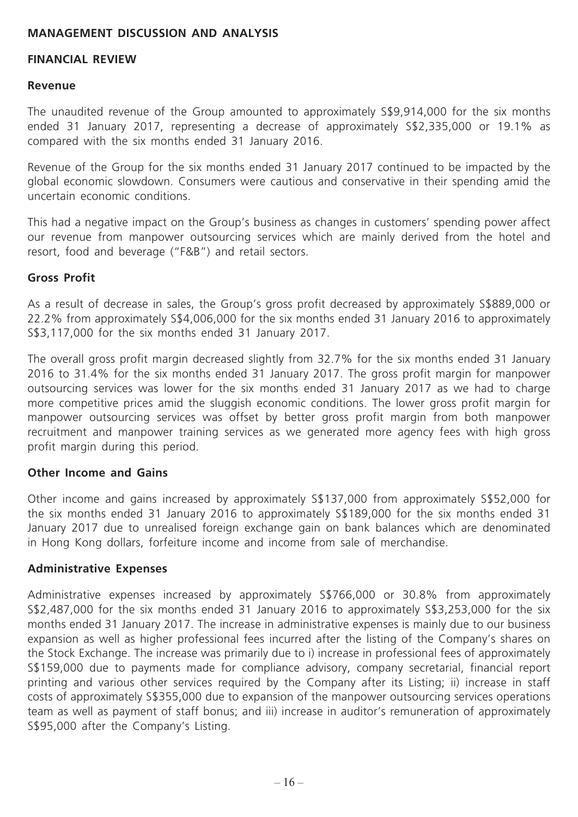## **MANAGEMENT DISCUSSION AND ANALYSIS**

#### **FINANCIAL REVIEW**

#### **Revenue**

The unaudited revenue of the Group amounted to approximately S\$9,914,000 for the six months ended 31 January 2017, representing a decrease of approximately S\$2,335,000 or 19.1% as compared with the six months ended 31 January 2016.

Revenue of the Group for the six months ended 31 January 2017 continued to be impacted by the global economic slowdown. Consumers were cautious and conservative in their spending amid the uncertain economic conditions.

This had a negative impact on the Group's business as changes in customers' spending power affect our revenue from manpower outsourcing services which are mainly derived from the hotel and resort, food and beverage ("F&B") and retail sectors.

#### **Gross Profit**

As a result of decrease in sales, the Group's gross profit decreased by approximately S\$889,000 or 22.2% from approximately S\$4,006,000 for the six months ended 31 January 2016 to approximately S\$3,117,000 for the six months ended 31 January 2017.

The overall gross profit margin decreased slightly from 32.7% for the six months ended 31 January 2016 to 31.4% for the six months ended 31 January 2017. The gross profit margin for manpower outsourcing services was lower for the six months ended 31 January 2017 as we had to charge more competitive prices amid the sluggish economic conditions. The lower gross profit margin for manpower outsourcing services was offset by better gross profit margin from both manpower recruitment and manpower training services as we generated more agency fees with high gross profit margin during this period.

#### **Other Income and Gains**

Other income and gains increased by approximately S\$137,000 from approximately S\$52,000 for the six months ended 31 January 2016 to approximately S\$189,000 for the six months ended 31 January 2017 due to unrealised foreign exchange gain on bank balances which are denominated in Hong Kong dollars, forfeiture income and income from sale of merchandise.

#### **Administrative Expenses**

Administrative expenses increased by approximately S\$766,000 or 30.8% from approximately S\$2,487,000 for the six months ended 31 January 2016 to approximately S\$3,253,000 for the six months ended 31 January 2017. The increase in administrative expenses is mainly due to our business expansion as well as higher professional fees incurred after the listing of the Company's shares on the Stock Exchange. The increase was primarily due to i) increase in professional fees of approximately S\$159,000 due to payments made for compliance advisory, company secretarial, financial report printing and various other services required by the Company after its Listing; ii) increase in staff costs of approximately S\$355,000 due to expansion of the manpower outsourcing services operations team as well as payment of staff bonus; and iii) increase in auditor's remuneration of approximately S\$95,000 after the Company's Listing.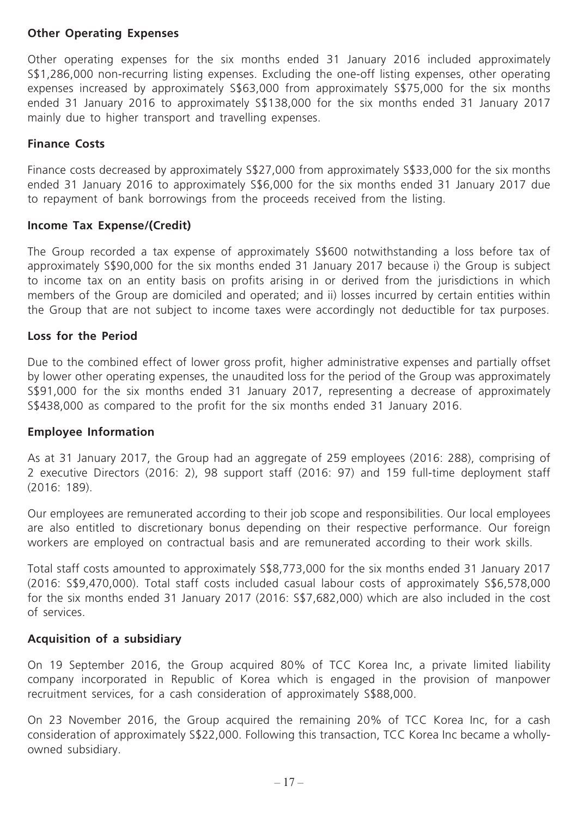## **Other Operating Expenses**

Other operating expenses for the six months ended 31 January 2016 included approximately S\$1,286,000 non-recurring listing expenses. Excluding the one-off listing expenses, other operating expenses increased by approximately S\$63,000 from approximately S\$75,000 for the six months ended 31 January 2016 to approximately S\$138,000 for the six months ended 31 January 2017 mainly due to higher transport and travelling expenses.

## **Finance Costs**

Finance costs decreased by approximately S\$27,000 from approximately S\$33,000 for the six months ended 31 January 2016 to approximately S\$6,000 for the six months ended 31 January 2017 due to repayment of bank borrowings from the proceeds received from the listing.

#### **Income Tax Expense/(Credit)**

The Group recorded a tax expense of approximately S\$600 notwithstanding a loss before tax of approximately S\$90,000 for the six months ended 31 January 2017 because i) the Group is subject to income tax on an entity basis on profits arising in or derived from the jurisdictions in which members of the Group are domiciled and operated; and ii) losses incurred by certain entities within the Group that are not subject to income taxes were accordingly not deductible for tax purposes.

## **Loss for the Period**

Due to the combined effect of lower gross profit, higher administrative expenses and partially offset by lower other operating expenses, the unaudited loss for the period of the Group was approximately S\$91,000 for the six months ended 31 January 2017, representing a decrease of approximately S\$438,000 as compared to the profit for the six months ended 31 January 2016.

#### **Employee Information**

As at 31 January 2017, the Group had an aggregate of 259 employees (2016: 288), comprising of 2 executive Directors (2016: 2), 98 support staff (2016: 97) and 159 full-time deployment staff (2016: 189).

Our employees are remunerated according to their job scope and responsibilities. Our local employees are also entitled to discretionary bonus depending on their respective performance. Our foreign workers are employed on contractual basis and are remunerated according to their work skills.

Total staff costs amounted to approximately S\$8,773,000 for the six months ended 31 January 2017 (2016: S\$9,470,000). Total staff costs included casual labour costs of approximately S\$6,578,000 for the six months ended 31 January 2017 (2016: S\$7,682,000) which are also included in the cost of services.

## **Acquisition of a subsidiary**

On 19 September 2016, the Group acquired 80% of TCC Korea Inc, a private limited liability company incorporated in Republic of Korea which is engaged in the provision of manpower recruitment services, for a cash consideration of approximately S\$88,000.

On 23 November 2016, the Group acquired the remaining 20% of TCC Korea Inc, for a cash consideration of approximately S\$22,000. Following this transaction, TCC Korea Inc became a whollyowned subsidiary.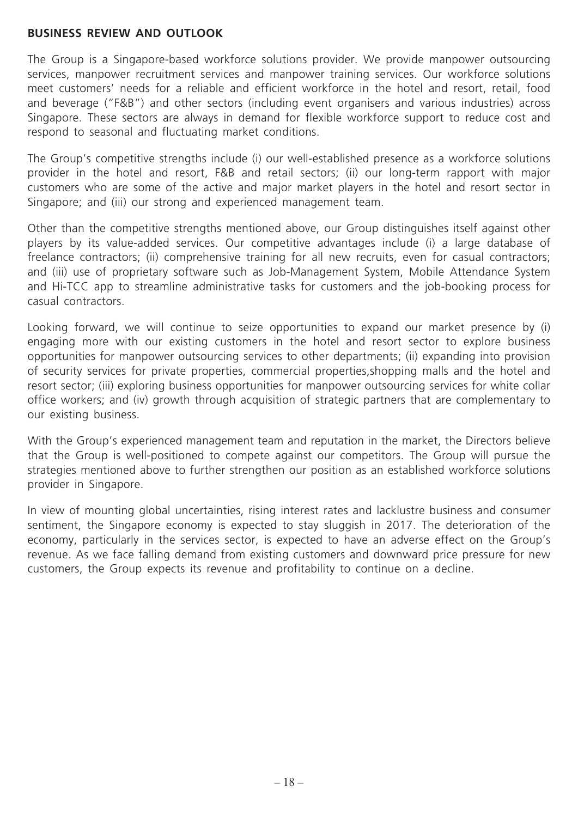#### **BUSINESS REVIEW AND OUTLOOK**

The Group is a Singapore-based workforce solutions provider. We provide manpower outsourcing services, manpower recruitment services and manpower training services. Our workforce solutions meet customers' needs for a reliable and efficient workforce in the hotel and resort, retail, food and beverage ("F&B") and other sectors (including event organisers and various industries) across Singapore. These sectors are always in demand for flexible workforce support to reduce cost and respond to seasonal and fluctuating market conditions.

The Group's competitive strengths include (i) our well-established presence as a workforce solutions provider in the hotel and resort, F&B and retail sectors; (ii) our long-term rapport with major customers who are some of the active and major market players in the hotel and resort sector in Singapore; and (iii) our strong and experienced management team.

Other than the competitive strengths mentioned above, our Group distinguishes itself against other players by its value-added services. Our competitive advantages include (i) a large database of freelance contractors; (ii) comprehensive training for all new recruits, even for casual contractors; and (iii) use of proprietary software such as Job-Management System, Mobile Attendance System and Hi-TCC app to streamline administrative tasks for customers and the job-booking process for casual contractors.

Looking forward, we will continue to seize opportunities to expand our market presence by (i) engaging more with our existing customers in the hotel and resort sector to explore business opportunities for manpower outsourcing services to other departments; (ii) expanding into provision of security services for private properties, commercial properties,shopping malls and the hotel and resort sector; (iii) exploring business opportunities for manpower outsourcing services for white collar office workers; and (iv) growth through acquisition of strategic partners that are complementary to our existing business.

With the Group's experienced management team and reputation in the market, the Directors believe that the Group is well-positioned to compete against our competitors. The Group will pursue the strategies mentioned above to further strengthen our position as an established workforce solutions provider in Singapore.

In view of mounting global uncertainties, rising interest rates and lacklustre business and consumer sentiment, the Singapore economy is expected to stay sluggish in 2017. The deterioration of the economy, particularly in the services sector, is expected to have an adverse effect on the Group's revenue. As we face falling demand from existing customers and downward price pressure for new customers, the Group expects its revenue and profitability to continue on a decline.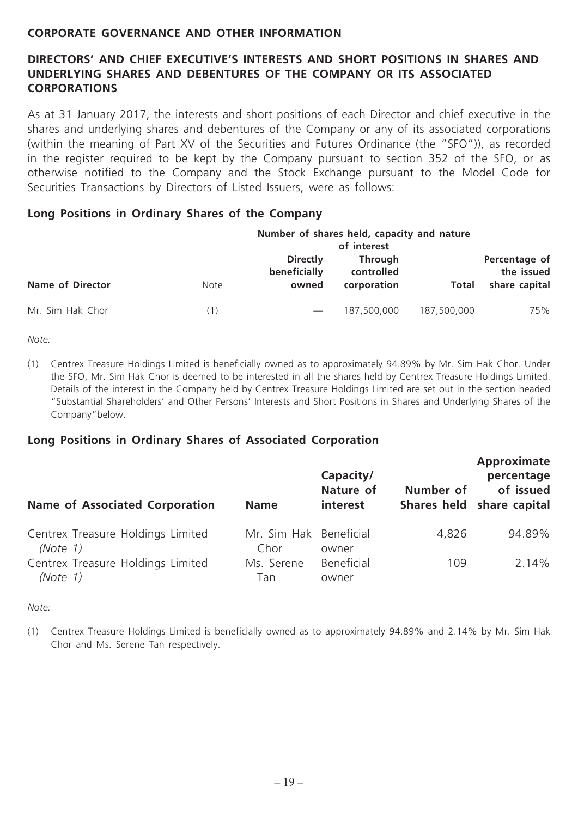## **CORPORATE GOVERNANCE AND OTHER INFORMATION**

## **DIRECTORS' AND CHIEF EXECUTIVE'S INTERESTS AND SHORT POSITIONS IN SHARES AND UNDERLYING SHARES AND DEBENTURES OF THE COMPANY OR ITS ASSOCIATED CORPORATIONS**

As at 31 January 2017, the interests and short positions of each Director and chief executive in the shares and underlying shares and debentures of the Company or any of its associated corporations (within the meaning of Part XV of the Securities and Futures Ordinance (the "SFO")), as recorded in the register required to be kept by the Company pursuant to section 352 of the SFO, or as otherwise notified to the Company and the Stock Exchange pursuant to the Model Code for Securities Transactions by Directors of Listed Issuers, were as follows:

#### **Long Positions in Ordinary Shares of the Company**

|                         | Number of shares held, capacity and nature<br>of interest |                                          |                                             |             |                                              |  |
|-------------------------|-----------------------------------------------------------|------------------------------------------|---------------------------------------------|-------------|----------------------------------------------|--|
| <b>Name of Director</b> | <b>Note</b>                                               | <b>Directly</b><br>beneficially<br>owned | <b>Through</b><br>controlled<br>corporation | Total       | Percentage of<br>the issued<br>share capital |  |
| Mr. Sim Hak Chor        | (1)                                                       |                                          | 187,500,000                                 | 187,500,000 | 75%                                          |  |

*Note:*

(1) Centrex Treasure Holdings Limited is beneficially owned as to approximately 94.89% by Mr. Sim Hak Chor. Under the SFO, Mr. Sim Hak Chor is deemed to be interested in all the shares held by Centrex Treasure Holdings Limited. Details of the interest in the Company held by Centrex Treasure Holdings Limited are set out in the section headed "Substantial Shareholders' and Other Persons' Interests and Short Positions in Shares and Underlying Shares of the Company"below.

#### **Long Positions in Ordinary Shares of Associated Corporation**

| <b>Name of Associated Corporation</b>            | <b>Name</b>                    | Capacity/<br><b>Nature of</b><br>interest | Number of | Approximate<br>percentage<br>of issued<br>Shares held share capital |
|--------------------------------------------------|--------------------------------|-------------------------------------------|-----------|---------------------------------------------------------------------|
| Centrex Treasure Holdings Limited<br>(Note $1$ ) | Mr. Sim Hak Beneficial<br>Chor | owner                                     | 4,826     | 94.89%                                                              |
| Centrex Treasure Holdings Limited<br>(Note 1)    | Ms. Serene<br>Tan              | Beneficial<br>owner                       | 109       | 2.14%                                                               |

*Note:*

(1) Centrex Treasure Holdings Limited is beneficially owned as to approximately 94.89% and 2.14% by Mr. Sim Hak Chor and Ms. Serene Tan respectively.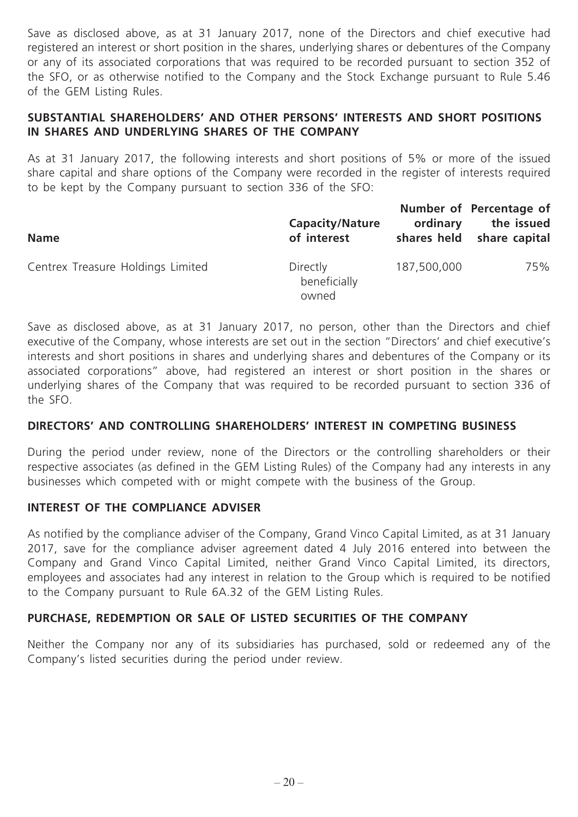Save as disclosed above, as at 31 January 2017, none of the Directors and chief executive had registered an interest or short position in the shares, underlying shares or debentures of the Company or any of its associated corporations that was required to be recorded pursuant to section 352 of the SFO, or as otherwise notified to the Company and the Stock Exchange pursuant to Rule 5.46 of the GEM Listing Rules.

## **SUBSTANTIAL SHAREHOLDERS' AND OTHER PERSONS' INTERESTS AND SHORT POSITIONS IN SHARES AND UNDERLYING SHARES OF THE COMPANY**

As at 31 January 2017, the following interests and short positions of 5% or more of the issued share capital and share options of the Company were recorded in the register of interests required to be kept by the Company pursuant to section 336 of the SFO:

| <b>Name</b>                       | <b>Capacity/Nature</b><br>of interest | ordinary    | Number of Percentage of<br>the issued<br>shares held share capital |
|-----------------------------------|---------------------------------------|-------------|--------------------------------------------------------------------|
| Centrex Treasure Holdings Limited | Directly<br>beneficially<br>owned     | 187,500,000 | 75%                                                                |

Save as disclosed above, as at 31 January 2017, no person, other than the Directors and chief executive of the Company, whose interests are set out in the section "Directors' and chief executive's interests and short positions in shares and underlying shares and debentures of the Company or its associated corporations" above, had registered an interest or short position in the shares or underlying shares of the Company that was required to be recorded pursuant to section 336 of the SFO.

## **DIRECTORS' AND CONTROLLING SHAREHOLDERS' INTEREST IN COMPETING BUSINESS**

During the period under review, none of the Directors or the controlling shareholders or their respective associates (as defined in the GEM Listing Rules) of the Company had any interests in any businesses which competed with or might compete with the business of the Group.

## **INTEREST OF THE COMPLIANCE ADVISER**

As notified by the compliance adviser of the Company, Grand Vinco Capital Limited, as at 31 January 2017, save for the compliance adviser agreement dated 4 July 2016 entered into between the Company and Grand Vinco Capital Limited, neither Grand Vinco Capital Limited, its directors, employees and associates had any interest in relation to the Group which is required to be notified to the Company pursuant to Rule 6A.32 of the GEM Listing Rules.

## **PURCHASE, REDEMPTION OR SALE OF LISTED SECURITIES OF THE COMPANY**

Neither the Company nor any of its subsidiaries has purchased, sold or redeemed any of the Company's listed securities during the period under review.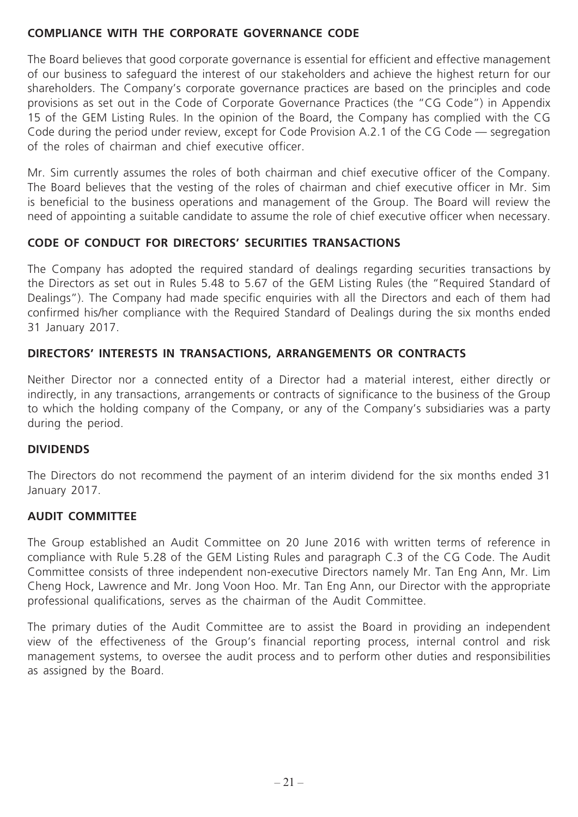## **COMPLIANCE WITH THE CORPORATE GOVERNANCE CODE**

The Board believes that good corporate governance is essential for efficient and effective management of our business to safeguard the interest of our stakeholders and achieve the highest return for our shareholders. The Company's corporate governance practices are based on the principles and code provisions as set out in the Code of Corporate Governance Practices (the "CG Code") in Appendix 15 of the GEM Listing Rules. In the opinion of the Board, the Company has complied with the CG Code during the period under review, except for Code Provision A.2.1 of the CG Code — segregation of the roles of chairman and chief executive officer.

Mr. Sim currently assumes the roles of both chairman and chief executive officer of the Company. The Board believes that the vesting of the roles of chairman and chief executive officer in Mr. Sim is beneficial to the business operations and management of the Group. The Board will review the need of appointing a suitable candidate to assume the role of chief executive officer when necessary.

## **CODE OF CONDUCT FOR DIRECTORS' SECURITIES TRANSACTIONS**

The Company has adopted the required standard of dealings regarding securities transactions by the Directors as set out in Rules 5.48 to 5.67 of the GEM Listing Rules (the "Required Standard of Dealings"). The Company had made specific enquiries with all the Directors and each of them had confirmed his/her compliance with the Required Standard of Dealings during the six months ended 31 January 2017.

## **DIRECTORS' INTERESTS IN TRANSACTIONS, ARRANGEMENTS OR CONTRACTS**

Neither Director nor a connected entity of a Director had a material interest, either directly or indirectly, in any transactions, arrangements or contracts of significance to the business of the Group to which the holding company of the Company, or any of the Company's subsidiaries was a party during the period.

## **DIVIDENDS**

The Directors do not recommend the payment of an interim dividend for the six months ended 31 January 2017.

## **AUDIT COMMITTEE**

The Group established an Audit Committee on 20 June 2016 with written terms of reference in compliance with Rule 5.28 of the GEM Listing Rules and paragraph C.3 of the CG Code. The Audit Committee consists of three independent non-executive Directors namely Mr. Tan Eng Ann, Mr. Lim Cheng Hock, Lawrence and Mr. Jong Voon Hoo. Mr. Tan Eng Ann, our Director with the appropriate professional qualifications, serves as the chairman of the Audit Committee.

The primary duties of the Audit Committee are to assist the Board in providing an independent view of the effectiveness of the Group's financial reporting process, internal control and risk management systems, to oversee the audit process and to perform other duties and responsibilities as assigned by the Board.